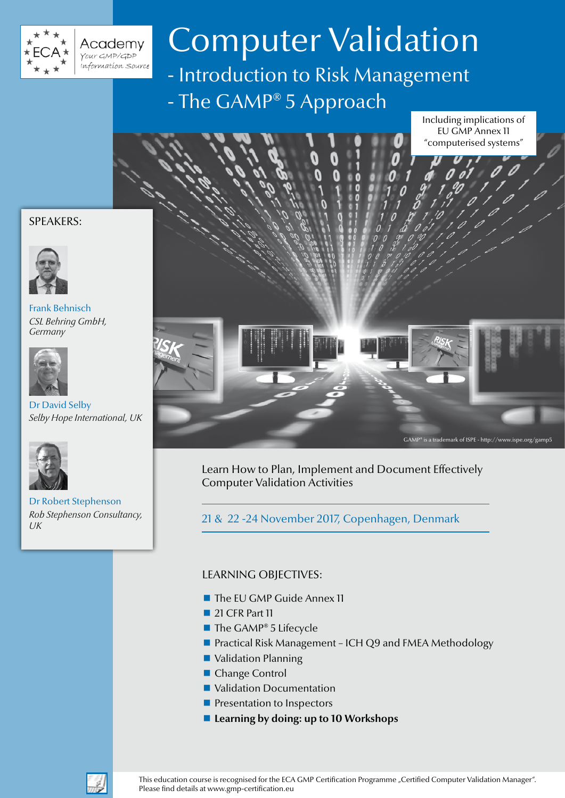

**Academy**<br>Your GMP/GDP .<br>Information Source

# Computer Validation

- Introduction to Risk Management - The GAMP® 5 Approach

Including implications of EU GMP Annex 11 "computerised systems"

D

# SPEAKERS:



Frank Behnisch *CSL Behring GmbH, Germany*



# Dr David Selby *Selby Hope International, UK*



Dr Robert Stephenson *Rob Stephenson Consultancy, UK*



Learn How to Plan, Implement and Document Effectively Computer Validation Activities

21 & 22 -24 November 2017, Copenhagen, Denmark

# LEARNING OBJECTIVES:

- The EU GMP Guide Annex 11
- 21 CFR Part 11
- $\blacksquare$  The GAMP® 5 Lifecycle
- Practical Risk Management ICH Q9 and FMEA Methodology
- Validation Planning
- Change Control
- Validation Documentation
- **Presentation to Inspectors**
- Learning by doing: up to 10 Workshops

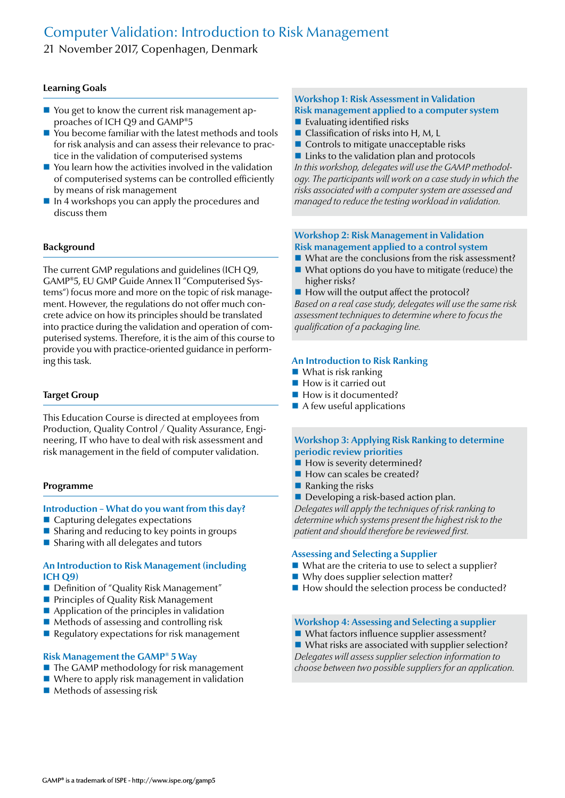# Computer Validation: Introduction to Risk Management

21 November 2017, Copenhagen, Denmark

# **Learning Goals**

- You get to know the current risk management approaches of ICH Q9 and GAMP®5
- You become familiar with the latest methods and tools for risk analysis and can assess their relevance to practice in the validation of computerised systems
- You learn how the activities involved in the validation of computerised systems can be controlled efficiently by means of risk management
- $\blacksquare$  In 4 workshops you can apply the procedures and discuss them

### **Background**

The current GMP regulations and guidelines (ICH Q9, GAMP®5, EU GMP Guide Annex 11 "Computerised Systems") focus more and more on the topic of risk management. However, the regulations do not offer much concrete advice on how its principles should be translated into practice during the validation and operation of computerised systems. Therefore, it is the aim of this course to provide you with practice-oriented guidance in performing this task.

#### **Target Group**

This Education Course is directed at employees from Production, Quality Control / Quality Assurance, Engineering, IT who have to deal with risk assessment and risk management in the field of computer validation.

#### **Programme**

#### **Introduction – What do you want from this day?**

- Capturing delegates expectations
- $\blacksquare$  Sharing and reducing to key points in groups
- Sharing with all delegates and tutors

#### **An Introduction to Risk Management (including ICH Q9)**

- Definition of "Quality Risk Management"
- **Principles of Quality Risk Management**
- $\blacksquare$  Application of the principles in validation
- $\blacksquare$  Methods of assessing and controlling risk
- $\blacksquare$  Regulatory expectations for risk management

#### **Risk Management the GAMP® 5 Way**

- The GAMP methodology for risk management
- Where to apply risk management in validation
- $\blacksquare$  Methods of assessing risk

# **Workshop 1: Risk Assessment in Validation Risk management applied to a computer system**

- $\blacksquare$  Evaluating identified risks
- Classification of risks into H, M, L
- Controls to mitigate unacceptable risks
- $\blacksquare$  Links to the validation plan and protocols

*In this workshop, delegates will use the GAMP methodology. The participants will work on a case study in which the risks associated with a computer system are assessed and managed to reduce the testing workload in validation.*

# **Workshop 2: Risk Management in Validation Risk management applied to a control system**

- What are the conclusions from the risk assessment?
- What options do you have to mitigate (reduce) the higher risks?
- $\blacksquare$  How will the output affect the protocol?

*Based on a real case study, delegates will use the same risk assessment techniques to determine where to focus the qualification of a packaging line.*

#### **An Introduction to Risk Ranking**

- What is risk ranking
- **How is it carried out**
- How is it documented?
- $\blacksquare$  A few useful applications

# **Workshop 3: Applying Risk Ranking to determine periodic review priorities**

- How is severity determined?
- How can scales be created?
- $\blacksquare$  Ranking the risks
- Developing a risk-based action plan.

*Delegates will apply the techniques of risk ranking to determine which systems present the highest risk to the patient and should therefore be reviewed first.*

## **Assessing and Selecting a Supplier**

- What are the criteria to use to select a supplier?
- Why does supplier selection matter?
- $\blacksquare$  How should the selection process be conducted?

#### **Workshop 4: Assessing and Selecting a supplier**

What factors influence supplier assessment?

■ What risks are associated with supplier selection? *Delegates will assess supplier selection information to choose between two possible suppliers for an application.*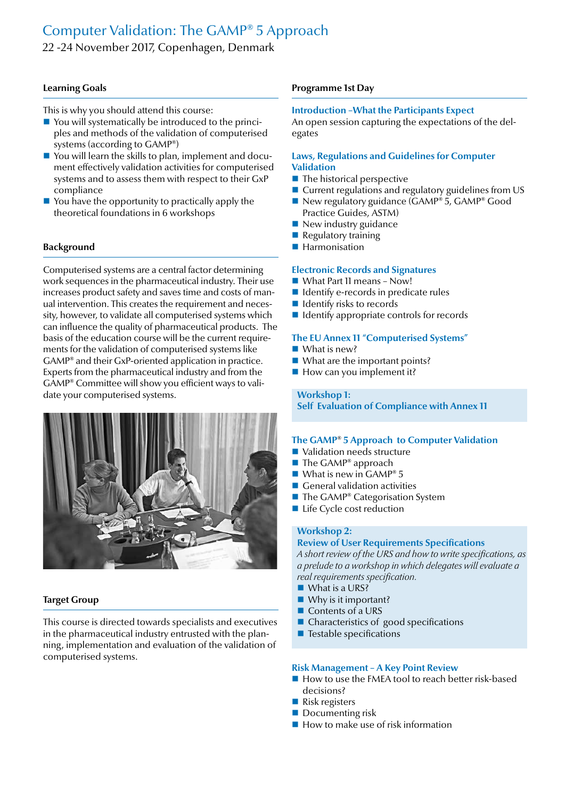# Computer Validation: The GAMP® 5 Approach

22 -24 November 2017, Copenhagen, Denmark

# **Learning Goals**

This is why you should attend this course:

- You will systematically be introduced to the principles and methods of the validation of computerised systems (according to GAMP®)
- You will learn the skills to plan, implement and document effectively validation activities for computerised systems and to assess them with respect to their GxP compliance
- $\blacksquare$  You have the opportunity to practically apply the theoretical foundations in 6 workshops

# **Background**

Computerised systems are a central factor determining work sequences in the pharmaceutical industry. Their use increases product safety and saves time and costs of manual intervention. This creates the requirement and necessity, however, to validate all computerised systems which can influence the quality of pharmaceutical products. The basis of the education course will be the current requirements for the validation of computerised systems like GAMP® and their GxP-oriented application in practice. Experts from the pharmaceutical industry and from the GAMP® Committee will show you efficient ways to validate your computerised systems.



# **Target Group**

This course is directed towards specialists and executives in the pharmaceutical industry entrusted with the planning, implementation and evaluation of the validation of computerised systems.

# **Programme 1st Day**

# **Introduction –What the Participants Expect**

An open session capturing the expectations of the delegates

#### **Laws, Regulations and Guidelines for Computer Validation**

- $\blacksquare$  The historical perspective
- Current regulations and regulatory guidelines from US
- New regulatory guidance (GAMP® 5, GAMP® Good Practice Guides, ASTM)
- $\blacksquare$  New industry guidance
- Regulatory training
- **Harmonisation**

#### **Electronic Records and Signatures**

- What Part 11 means Now!
- $\blacksquare$  Identify e-records in predicate rules
- $\blacksquare$  Identify risks to records
- $\blacksquare$  Identify appropriate controls for records

#### **The EU Annex 11 "Computerised Systems"**

- What is new?
- What are the important points?
- $\blacksquare$  How can you implement it?

# **Workshop 1:**

**Self Evaluation of Compliance with Annex 11**

# **The GAMP**® **5 Approach to Computer Validation**

- Validation needs structure
- $\blacksquare$  The GAMP® approach
- What is new in  $GAMP^{\circ} 5$
- General validation activities
- $\blacksquare$  The GAMP® Categorisation System
- Life Cycle cost reduction

# **Workshop 2:**

**Review of User Requirements Specifications** *A short review of the URS and how to write specifications, as a prelude to a workshop in which delegates will evaluate a real requirements specification.*

- What is a URS?
- Why is it important?
- Contents of a URS
- Characteristics of good specifications
- $\blacksquare$  Testable specifications

#### **Risk Management – A Key Point Review**

- $\blacksquare$  How to use the FMEA tool to reach better risk-based decisions?
- Risk registers
- Documenting risk
- $\blacksquare$  How to make use of risk information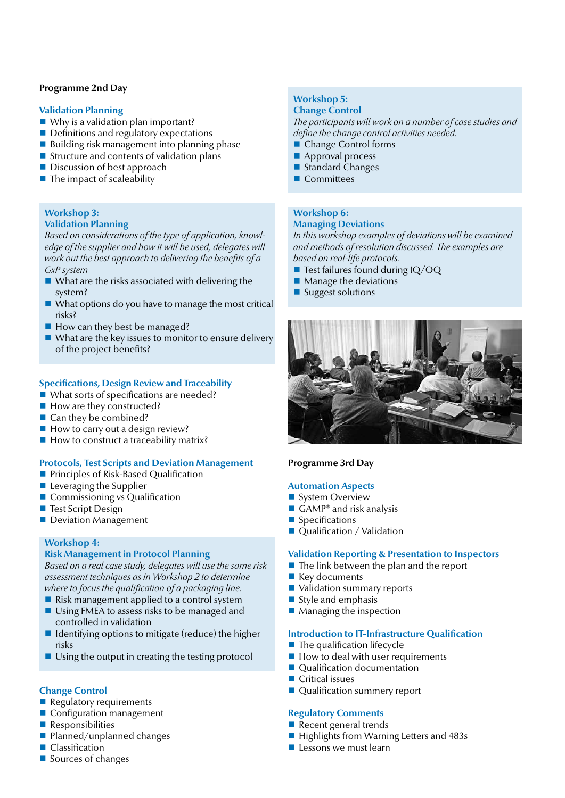# **Programme 2nd Day**

#### **Validation Planning**

- Why is a validation plan important?
- Definitions and regulatory expectations
- $\blacksquare$  Building risk management into planning phase
- Structure and contents of validation plans
- Discussion of best approach
- $\blacksquare$  The impact of scaleability

#### **Workshop 3: Validation Planning**

*Based on considerations of the type of application, knowledge of the supplier and how it will be used, delegates will work out the best approach to delivering the benefits of a GxP system*

- What are the risks associated with delivering the system?
- $\blacksquare$  What options do you have to manage the most critical risks?
- $\blacksquare$  How can they best be managed?
- $\blacksquare$  What are the key issues to monitor to ensure delivery of the project benefits?

### **Specifications, Design Review and Traceability**

- What sorts of specifications are needed?
- How are they constructed?
- Can they be combined?
- $\blacksquare$  How to carry out a design review?
- $\blacksquare$  How to construct a traceability matrix?

# **Protocols, Test Scripts and Deviation Management**

- **Principles of Risk-Based Qualification**
- $\blacksquare$  Leveraging the Supplier
- Commissioning vs Qualification
- Test Script Design
- Deviation Management

#### **Workshop 4:**

### **Risk Management in Protocol Planning**

*Based on a real case study, delegates will use the same risk assessment techniques as in Workshop 2 to determine where to focus the qualification of a packaging line.*

- $\blacksquare$  Risk management applied to a control system
- Using FMEA to assess risks to be managed and controlled in validation
- $\blacksquare$  Identifying options to mitigate (reduce) the higher risks
- $\blacksquare$  Using the output in creating the testing protocol

#### **Change Control**

- $\blacksquare$  Regulatory requirements
- Configuration management
- **Responsibilities**
- Planned/unplanned changes
- Classification
- Sources of changes

#### **Workshop 5: Change Control**

*The participants will work on a number of case studies and define the change control activities needed.*

- Change Control forms
- Approval process
- Standard Changes
- **Committees**

# **Workshop 6:**

# **Managing Deviations**

*In this workshop examples of deviations will be examined and methods of resolution discussed. The examples are based on real-life protocols.*

- $\blacksquare$  Test failures found during IQ/OQ
- Manage the deviations
- Suggest solutions



# **Programme 3rd Day**

#### **Automation Aspects**

- System Overview
- $\blacksquare$  GAMP<sup>®</sup> and risk analysis
- **Specifications**
- Qualification / Validation

#### **Validation Reporting & Presentation to Inspectors**

- $\blacksquare$  The link between the plan and the report
- Key documents
- Validation summary reports
- $\blacksquare$  Style and emphasis
- $\blacksquare$  Managing the inspection

#### **Introduction to IT-Infrastructure Qualification**

- $\blacksquare$  The qualification lifecycle
- $\blacksquare$  How to deal with user requirements
- Qualification documentation
- Critical issues
- Qualification summery report

# **Regulatory Comments**

- Recent general trends
- Highlights from Warning Letters and 483s
- $\blacksquare$  Lessons we must learn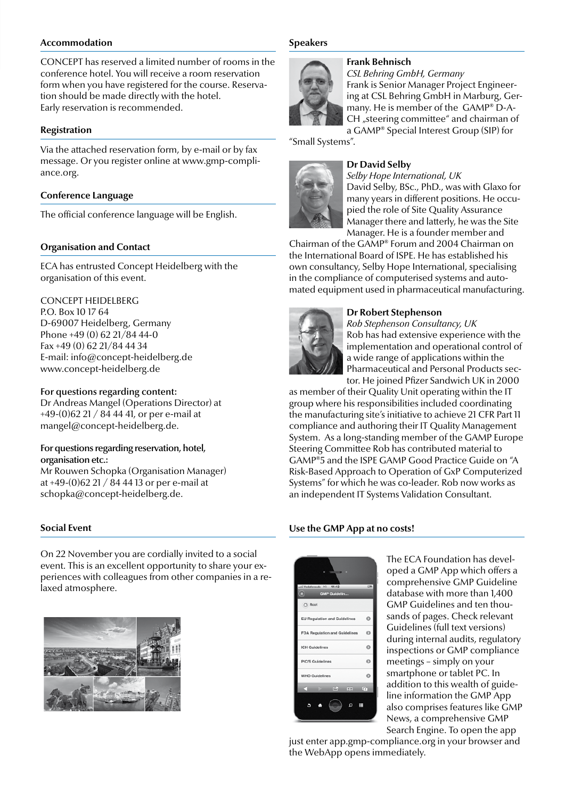# **Accommodation**

CONCEPT has reserved a limited number of rooms in the conference hotel. You will receive a room reservation form when you have registered for the course. Reservation should be made directly with the hotel. Early reservation is recommended.

#### **Registration**

Via the attached reservation form, by e-mail or by fax message. Or you register online at www.gmp-compliance.org.

#### **Conference Language**

The official conference language will be English.

### **Organisation and Contact**

ECA has entrusted Concept Heidelberg with the organisation of this event.

# CONCEPT HEIDELBERG

P.O. Box 10 17 64 D-69007 Heidelberg, Germany Phone +49 (0) 62 21/84 44-0 Fax +49 (0) 62 21/84 44 34 E-mail: info@concept-heidelberg.de www.concept-heidelberg.de

#### For questions regarding content:

Dr Andreas Mangel (Operations Director) at  $+49-(0)62$  21 / 84 44 41, or per e-mail at mangel@concept-heidelberg.de.

# For questions regarding reservation, hotel, organisation etc.:

Mr Rouwen Schopka (Organisation Manager) at +49-(0)62 21 / 84 44 13 or per e-mail at schopka@concept-heidelberg.de.

#### **Social Event**

On 22 November you are cordially invited to a social event. This is an excellent opportunity to share your experiences with colleagues from other companies in a relaxed atmosphere.



#### **Speakers**



*CSL Behring GmbH, Germany* Frank is Senior Manager Project Engineering at CSL Behring GmbH in Marburg, Germany. He is member of the GAMP® D-A-CH "steering committee" and chairman of a GAMP® Special Interest Group (SIP) for

"Small Systems".



# **Dr David Selby**

*Selby Hope International, UK*  David Selby, BSc., PhD., was with Glaxo for many years in different positions. He occupied the role of Site Quality Assurance Manager there and latterly, he was the Site Manager. He is a founder member and

Chairman of the GAMP® Forum and 2004 Chairman on the International Board of ISPE. He has established his own consultancy, Selby Hope International, specialising in the compliance of computerised systems and automated equipment used in pharmaceutical manufacturing.



#### **Dr Robert Stephenson**

*Rob Stephenson Consultancy, UK* Rob has had extensive experience with the implementation and operational control of a wide range of applications within the Pharmaceutical and Personal Products sector. He joined Pfizer Sandwich UK in 2000

as member of their Quality Unit operating within the IT group where his responsibilities included coordinating the manufacturing site's initiative to achieve 21 CFR Part 11 compliance and authoring their IT Quality Management System. As a long-standing member of the GAMP Europe Steering Committee Rob has contributed material to GAMP®5 and the ISPE GAMP Good Practice Guide on "A Risk-Based Approach to Operation of GxP Computerized Systems" for which he was co-leader. Rob now works as an independent IT Systems Validation Consultant.

#### **Use the GMP App at no costs!**



The ECA Foundation has developed a GMP App which offers a comprehensive GMP Guideline database with more than 1,400 GMP Guidelines and ten thousands of pages. Check relevant Guidelines (full text versions) during internal audits, regulatory inspections or GMP compliance meetings – simply on your smartphone or tablet PC. In addition to this wealth of guideline information the GMP App also comprises features like GMP News, a comprehensive GMP Search Engine. To open the app

just enter app.gmp-compliance.org in your browser and the WebApp opens immediately.

# **Frank Behnisch**